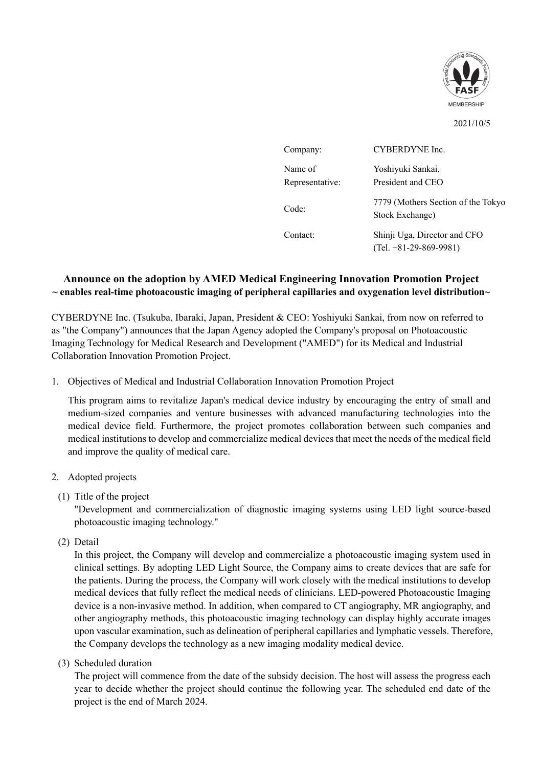

2021/10/5

| Company:                   | CYBERDYNE Inc.                                           |
|----------------------------|----------------------------------------------------------|
| Name of<br>Representative: | Yoshiyuki Sankai,<br>President and CEO                   |
| Code:                      | 7779 (Mothers Section of the Tokyo<br>Stock Exchange)    |
| Contact:                   | Shinji Uga, Director and CFO<br>$(Tel. +81-29-869-9981)$ |

## **Announce on the adoption by AMED Medical Engineering Innovation Promotion Project ~ enables real-time photoacoustic imaging of peripheral capillaries and oxygenation level distribution~**

CYBERDYNE Inc. (Tsukuba, Ibaraki, Japan, President & CEO: Yoshiyuki Sankai, from now on referred to as "the Company") announces that the Japan Agency adopted the Company's proposal on Photoacoustic Imaging Technology for Medical Research and Development ("AMED") for its Medical and Industrial Collaboration Innovation Promotion Project.

## 1. Objectives of Medical and Industrial Collaboration Innovation Promotion Project

This program aims to revitalize Japan's medical device industry by encouraging the entry of small and medium-sized companies and venture businesses with advanced manufacturing technologies into the medical device field. Furthermore, the project promotes collaboration between such companies and medical institutions to develop and commercialize medical devices that meet the needs of the medical field and improve the quality of medical care.

## 2. Adopted projects

## (1) Title of the project

"Development and commercialization of diagnostic imaging systems using LED light source-based photoacoustic imaging technology."

(2) Detail

In this project, the Company will develop and commercialize a photoacoustic imaging system used in clinical settings. By adopting LED Light Source, the Company aims to create devices that are safe for the patients. During the process, the Company will work closely with the medical institutions to develop medical devices that fully reflect the medical needs of clinicians. LED-powered Photoacoustic Imaging device is a non-invasive method. In addition, when compared to CT angiography, MR angiography, and other angiography methods, this photoacoustic imaging technology can display highly accurate images upon vascular examination, such as delineation of peripheral capillaries and lymphatic vessels. Therefore, the Company develops the technology as a new imaging modality medical device.

(3) Scheduled duration

The project will commence from the date of the subsidy decision. The host will assess the progress each year to decide whether the project should continue the following year. The scheduled end date of the project is the end of March 2024.